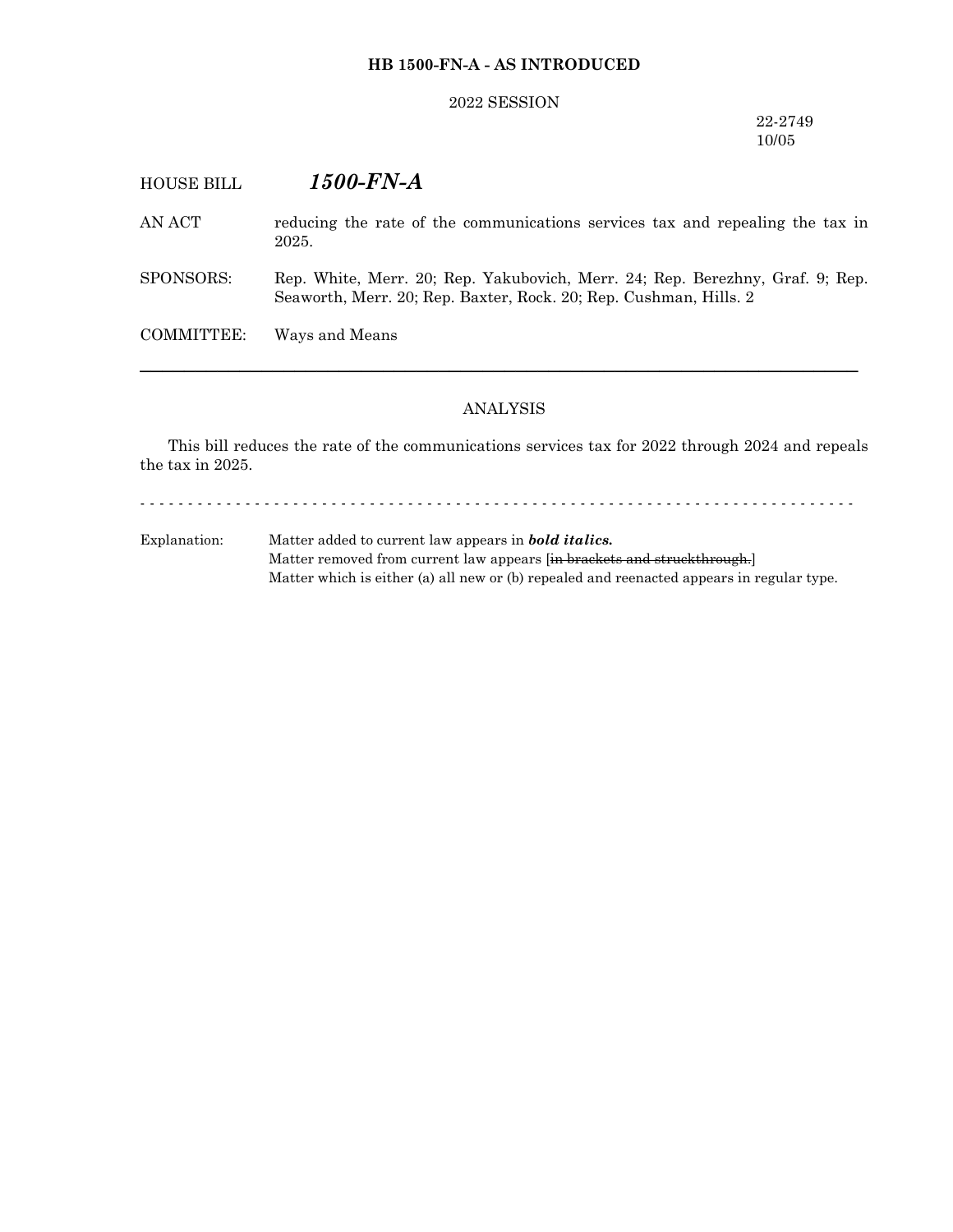## **HB 1500-FN-A - AS INTRODUCED**

## 2022 SESSION

## 22-2749 10/05

# HOUSE BILL *1500-FN-A*

AN ACT reducing the rate of the communications services tax and repealing the tax in 2025.

SPONSORS: Rep. White, Merr. 20; Rep. Yakubovich, Merr. 24; Rep. Berezhny, Graf. 9; Rep. Seaworth, Merr. 20; Rep. Baxter, Rock. 20; Rep. Cushman, Hills. 2

COMMITTEE: Ways and Means

#### ANALYSIS

─────────────────────────────────────────────────────────────────

This bill reduces the rate of the communications services tax for 2022 through 2024 and repeals the tax in 2025.

- - - - - - - - - - - - - - - - - - - - - - - - - - - - - - - - - - - - - - - - - - - - - - - - - - - - - - - - - - - - - - - - - - - - - - - - - - -

Explanation: Matter added to current law appears in *bold italics.* Matter removed from current law appears [in brackets and struckthrough.] Matter which is either (a) all new or (b) repealed and reenacted appears in regular type.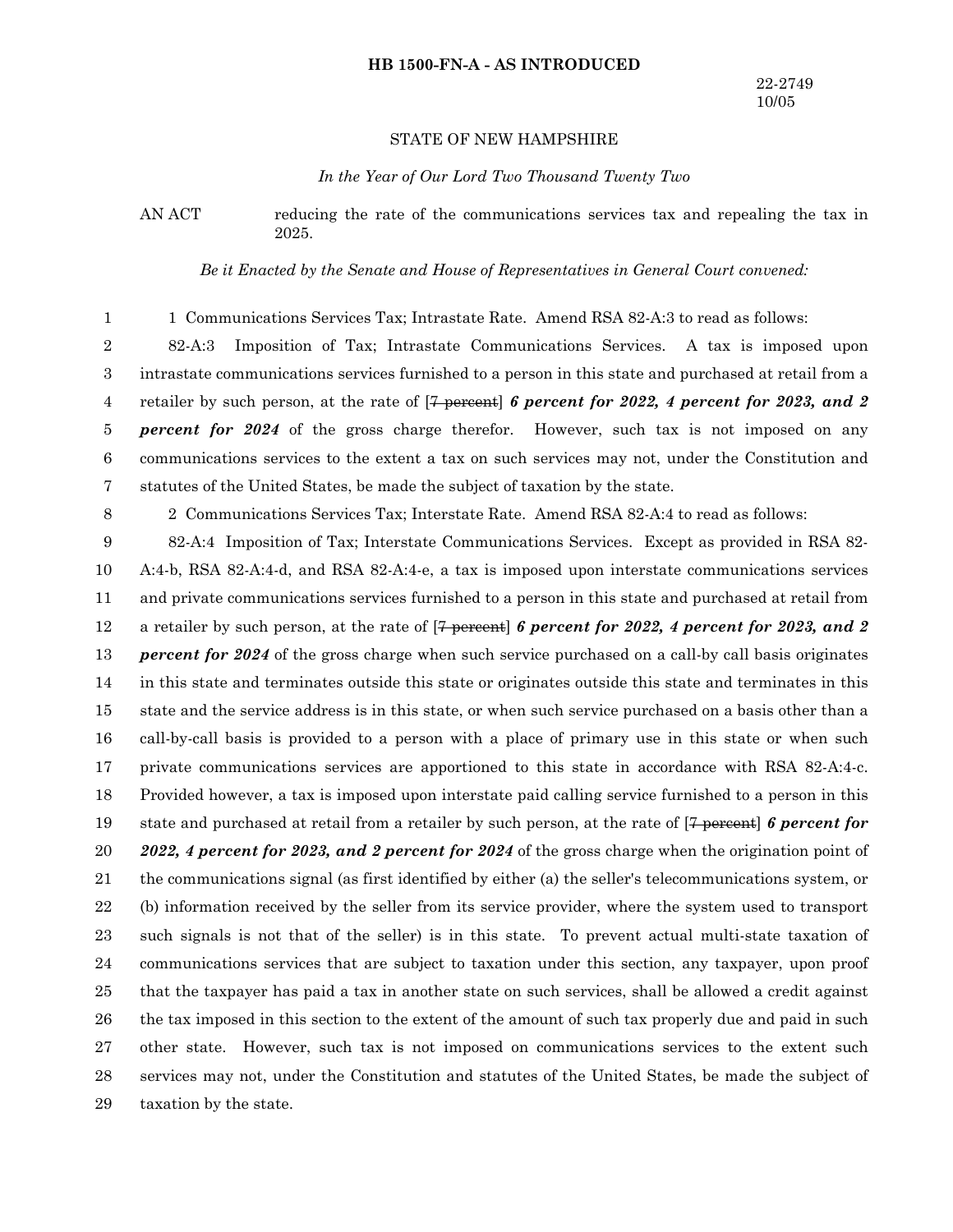#### **HB 1500-FN-A - AS INTRODUCED**

## STATE OF NEW HAMPSHIRE

#### *In the Year of Our Lord Two Thousand Twenty Two*

AN ACT reducing the rate of the communications services tax and repealing the tax in 2025.

*Be it Enacted by the Senate and House of Representatives in General Court convened:*

1 Communications Services Tax; Intrastate Rate. Amend RSA 82-A:3 to read as follows: 1

82-A:3 Imposition of Tax; Intrastate Communications Services. A tax is imposed upon intrastate communications services furnished to a person in this state and purchased at retail from a retailer by such person, at the rate of [7 percent] *6 percent for 2022, 4 percent for 2023, and 2 percent for 2024* of the gross charge therefor. However, such tax is not imposed on any communications services to the extent a tax on such services may not, under the Constitution and statutes of the United States, be made the subject of taxation by the state. 2 3 4 5 6 7

8

2 Communications Services Tax; Interstate Rate. Amend RSA 82-A:4 to read as follows:

82-A:4 Imposition of Tax; Interstate Communications Services. Except as provided in RSA 82- A:4-b, RSA 82-A:4-d, and RSA 82-A:4-e, a tax is imposed upon interstate communications services and private communications services furnished to a person in this state and purchased at retail from a retailer by such person, at the rate of [7 percent] *6 percent for 2022, 4 percent for 2023, and 2 percent for 2024* of the gross charge when such service purchased on a call-by call basis originates in this state and terminates outside this state or originates outside this state and terminates in this state and the service address is in this state, or when such service purchased on a basis other than a call-by-call basis is provided to a person with a place of primary use in this state or when such private communications services are apportioned to this state in accordance with RSA 82-A:4-c. Provided however, a tax is imposed upon interstate paid calling service furnished to a person in this state and purchased at retail from a retailer by such person, at the rate of [7 percent] *6 percent for 2022, 4 percent for 2023, and 2 percent for 2024* of the gross charge when the origination point of the communications signal (as first identified by either (a) the seller's telecommunications system, or (b) information received by the seller from its service provider, where the system used to transport such signals is not that of the seller) is in this state. To prevent actual multi-state taxation of communications services that are subject to taxation under this section, any taxpayer, upon proof that the taxpayer has paid a tax in another state on such services, shall be allowed a credit against the tax imposed in this section to the extent of the amount of such tax properly due and paid in such other state. However, such tax is not imposed on communications services to the extent such services may not, under the Constitution and statutes of the United States, be made the subject of taxation by the state. 9 10 11 12 13 14 15 16 17 18 19 20 21 22 23 24 25 26 27 28 29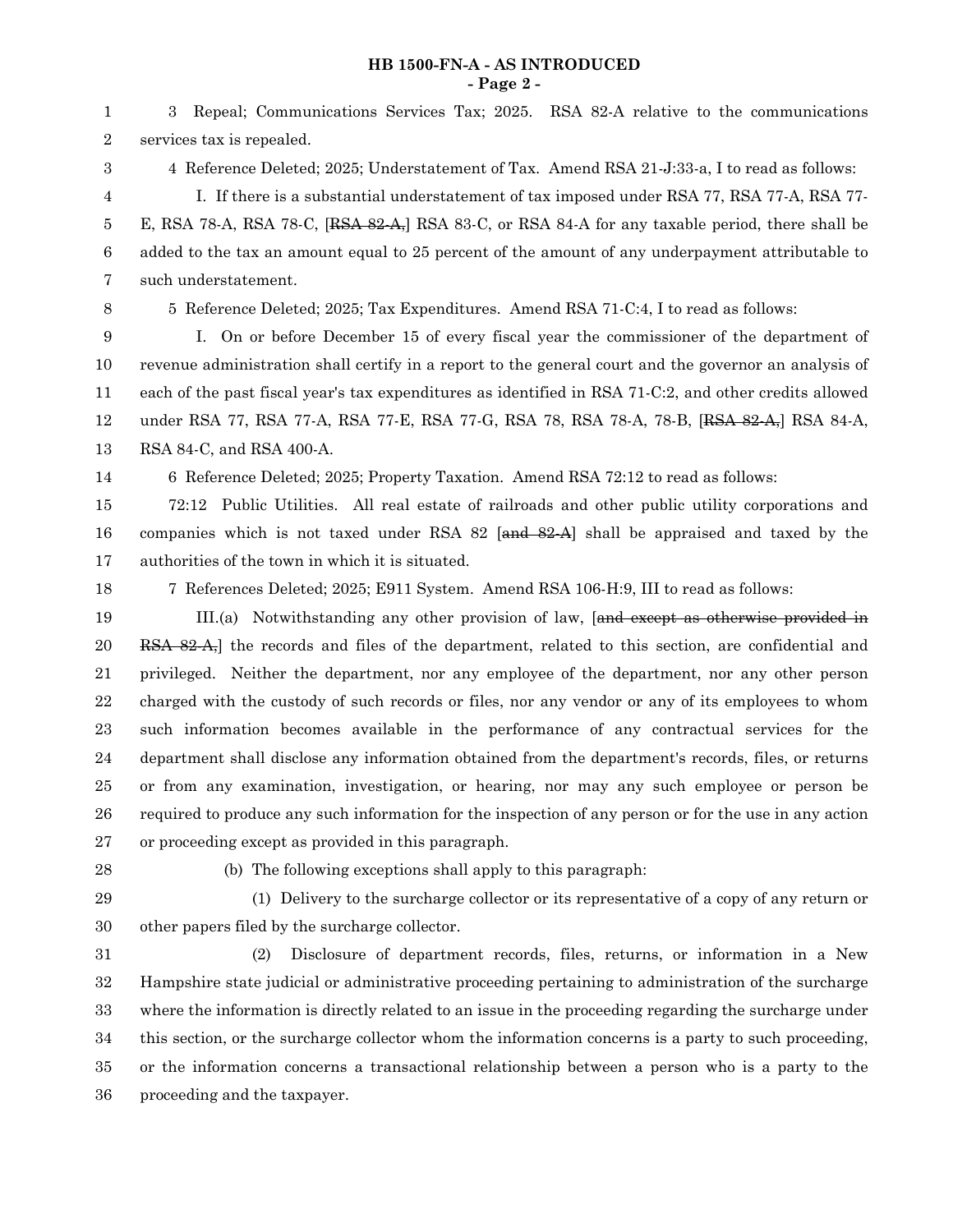## **HB 1500-FN-A - AS INTRODUCED - Page 2 -**

3 Repeal; Communications Services Tax; 2025. RSA 82-A relative to the communications

services tax is repealed. 4 Reference Deleted; 2025; Understatement of Tax. Amend RSA 21-J:33-a, I to read as follows: I. If there is a substantial understatement of tax imposed under RSA 77, RSA 77-A, RSA 77- E, RSA 78-A, RSA 78-C,  $[RSA 82-A<sub>7</sub>]$  RSA 83-C, or RSA 84-A for any taxable period, there shall be added to the tax an amount equal to 25 percent of the amount of any underpayment attributable to such understatement. 5 Reference Deleted; 2025; Tax Expenditures. Amend RSA 71-C:4, I to read as follows: I. On or before December 15 of every fiscal year the commissioner of the department of revenue administration shall certify in a report to the general court and the governor an analysis of each of the past fiscal year's tax expenditures as identified in RSA 71-C:2, and other credits allowed under RSA 77, RSA 77-A, RSA 77-E, RSA 77-G, RSA 78, RSA 78-A, 78-B, [RSA 82-A,] RSA 84-A, RSA 84-C, and RSA 400-A. 6 Reference Deleted; 2025; Property Taxation. Amend RSA 72:12 to read as follows: 72:12 Public Utilities. All real estate of railroads and other public utility corporations and companies which is not taxed under RSA  $82$  [and  $82-A$ ] shall be appraised and taxed by the authorities of the town in which it is situated. 7 References Deleted; 2025; E911 System. Amend RSA 106-H:9, III to read as follows: III.(a) Notwithstanding any other provision of law, [and except as otherwise provided in RSA 82-A,] the records and files of the department, related to this section, are confidential and privileged. Neither the department, nor any employee of the department, nor any other person charged with the custody of such records or files, nor any vendor or any of its employees to whom such information becomes available in the performance of any contractual services for the department shall disclose any information obtained from the department's records, files, or returns or from any examination, investigation, or hearing, nor may any such employee or person be required to produce any such information for the inspection of any person or for the use in any action or proceeding except as provided in this paragraph. (b) The following exceptions shall apply to this paragraph: (1) Delivery to the surcharge collector or its representative of a copy of any return or other papers filed by the surcharge collector. (2) Disclosure of department records, files, returns, or information in a New Hampshire state judicial or administrative proceeding pertaining to administration of the surcharge where the information is directly related to an issue in the proceeding regarding the surcharge under this section, or the surcharge collector whom the information concerns is a party to such proceeding, or the information concerns a transactional relationship between a person who is a party to the proceeding and the taxpayer. 2 3 4 5 6 7 8 9 10 11 12 13 14 15 16 17 18 19 20 21 22 23 24 25 26 27 28 29 30 31 32 33 34 35 36

1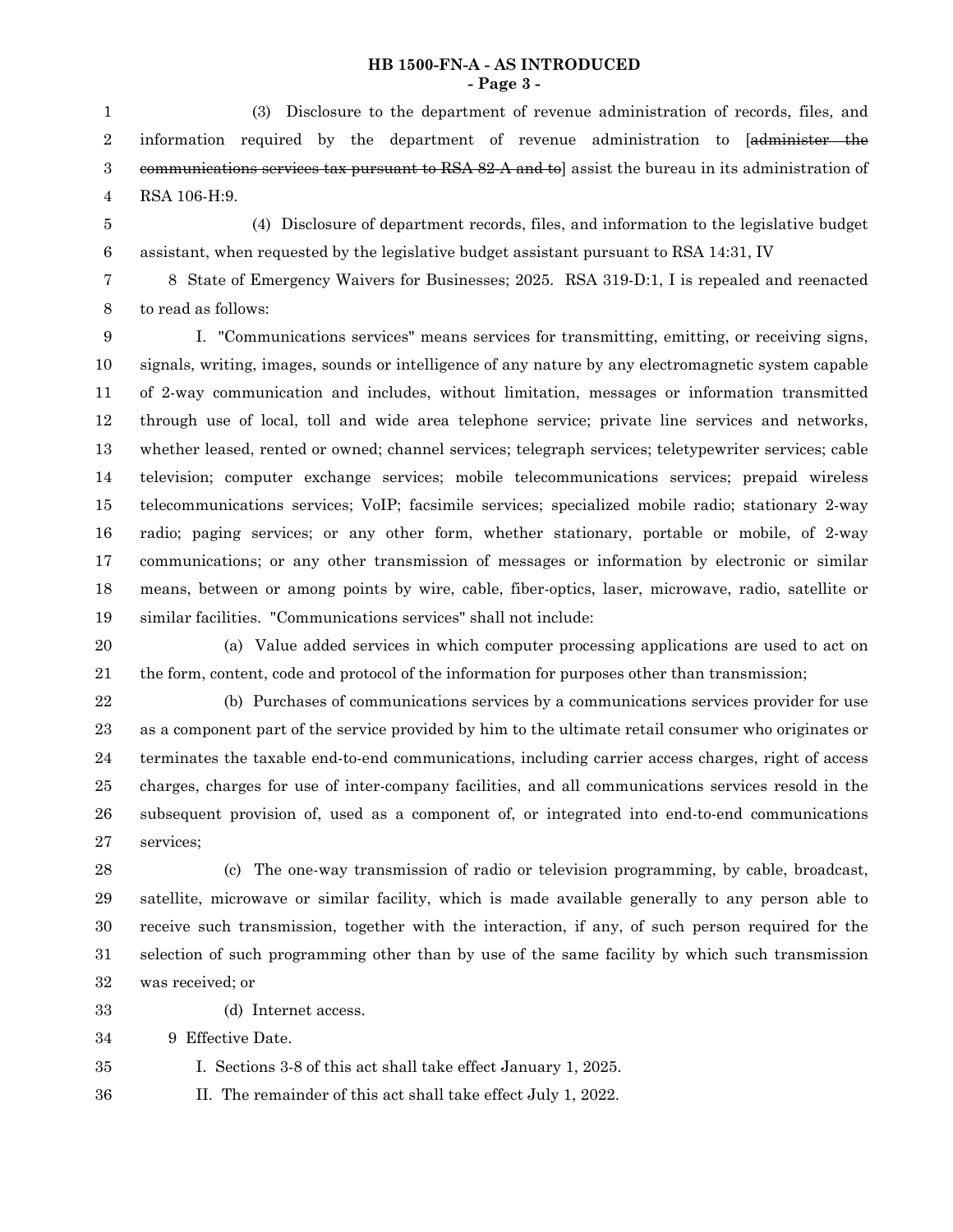## **HB 1500-FN-A - AS INTRODUCED - Page 3 -**

(3) Disclosure to the department of revenue administration of records, files, and information required by the department of revenue administration to [administer the communications services tax pursuant to RSA 82-A and to] assist the bureau in its administration of RSA 106-H:9. 1 2 3 4

5 6

(4) Disclosure of department records, files, and information to the legislative budget assistant, when requested by the legislative budget assistant pursuant to RSA 14:31, IV

8 State of Emergency Waivers for Businesses; 2025. RSA 319-D:1, I is repealed and reenacted to read as follows: 7 8

I. "Communications services" means services for transmitting, emitting, or receiving signs, signals, writing, images, sounds or intelligence of any nature by any electromagnetic system capable of 2-way communication and includes, without limitation, messages or information transmitted through use of local, toll and wide area telephone service; private line services and networks, whether leased, rented or owned; channel services; telegraph services; teletypewriter services; cable television; computer exchange services; mobile telecommunications services; prepaid wireless telecommunications services; VoIP; facsimile services; specialized mobile radio; stationary 2-way radio; paging services; or any other form, whether stationary, portable or mobile, of 2-way communications; or any other transmission of messages or information by electronic or similar means, between or among points by wire, cable, fiber-optics, laser, microwave, radio, satellite or similar facilities. "Communications services" shall not include: 9 10 11 12 13 14 15 16 17 18 19

(a) Value added services in which computer processing applications are used to act on the form, content, code and protocol of the information for purposes other than transmission; 20 21

(b) Purchases of communications services by a communications services provider for use as a component part of the service provided by him to the ultimate retail consumer who originates or terminates the taxable end-to-end communications, including carrier access charges, right of access charges, charges for use of inter-company facilities, and all communications services resold in the subsequent provision of, used as a component of, or integrated into end-to-end communications services; 22 23 24 25 26 27

(c) The one-way transmission of radio or television programming, by cable, broadcast, satellite, microwave or similar facility, which is made available generally to any person able to receive such transmission, together with the interaction, if any, of such person required for the selection of such programming other than by use of the same facility by which such transmission was received; or 28 29 30 31 32

33

35

- (d) Internet access.
- 9 Effective Date. 34
	- I. Sections 3-8 of this act shall take effect January 1, 2025.
- II. The remainder of this act shall take effect July 1, 2022. 36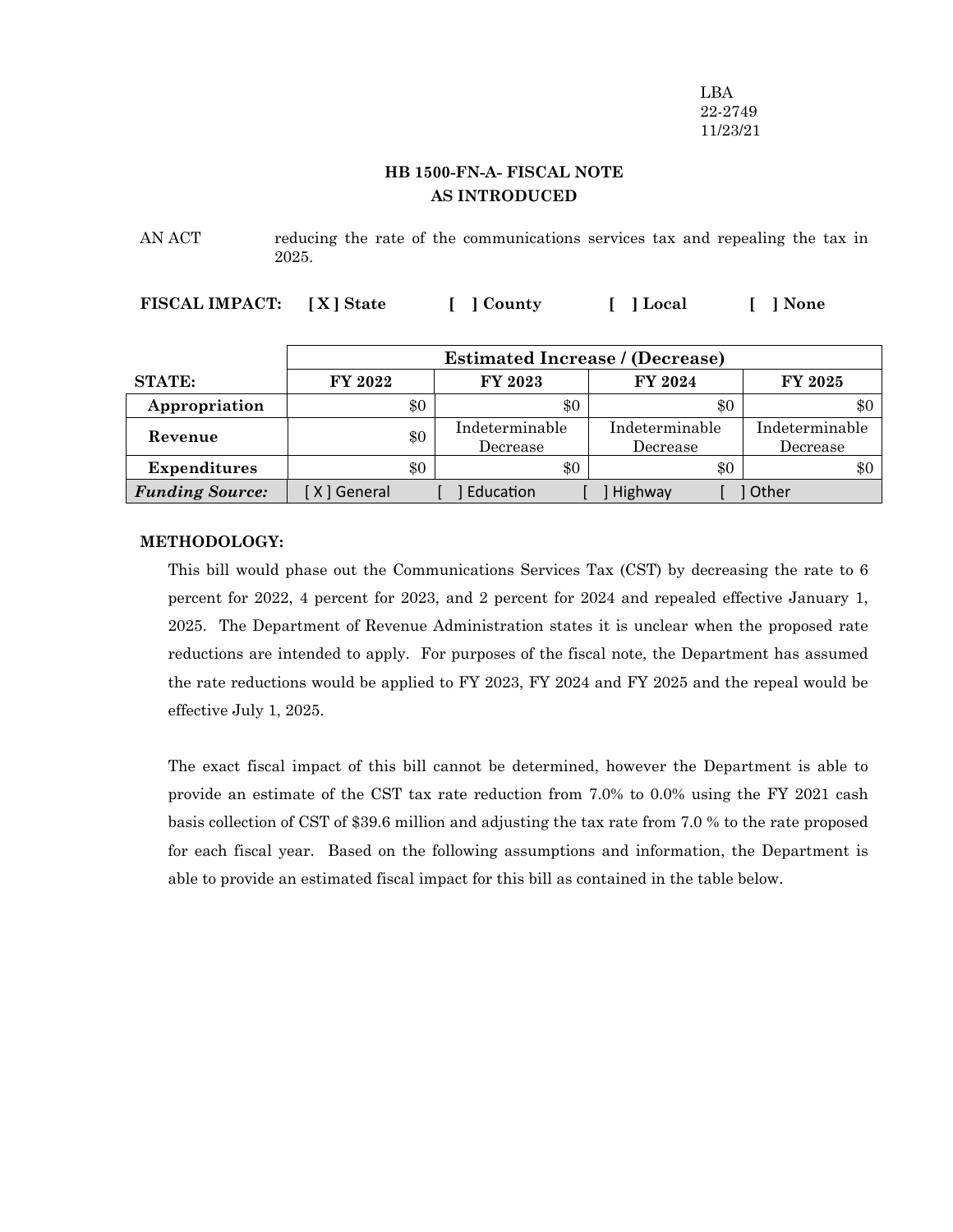LBA 22-2749 11/23/21

## **HB 1500-FN-A- FISCAL NOTE AS INTRODUCED**

AN ACT reducing the rate of the communications services tax and repealing the tax in 2025.

**FISCAL IMPACT: [ X ] State [ ] County [ ] Local [ ] None**

|                        | <b>Estimated Increase / (Decrease)</b> |                            |                            |                            |  |
|------------------------|----------------------------------------|----------------------------|----------------------------|----------------------------|--|
| <b>STATE:</b>          | FY 2022                                | FY 2023                    | FY 2024                    | <b>FY 2025</b>             |  |
| Appropriation          | \$0                                    | \$0                        | \$0                        | \$0                        |  |
| Revenue                | \$0                                    | Indeterminable<br>Decrease | Indeterminable<br>Decrease | Indeterminable<br>Decrease |  |
| <b>Expenditures</b>    | \$0                                    | \$0                        | \$0                        | \$0                        |  |
| <b>Funding Source:</b> | [ X ] General                          | Education                  | Highway                    | <b>Other</b>               |  |

### **METHODOLOGY:**

This bill would phase out the Communications Services Tax (CST) by decreasing the rate to 6 percent for 2022, 4 percent for 2023, and 2 percent for 2024 and repealed effective January 1, 2025. The Department of Revenue Administration states it is unclear when the proposed rate reductions are intended to apply. For purposes of the fiscal note, the Department has assumed the rate reductions would be applied to FY 2023, FY 2024 and FY 2025 and the repeal would be effective July 1, 2025.

The exact fiscal impact of this bill cannot be determined, however the Department is able to provide an estimate of the CST tax rate reduction from 7.0% to 0.0% using the FY 2021 cash basis collection of CST of \$39.6 million and adjusting the tax rate from 7.0 % to the rate proposed for each fiscal year. Based on the following assumptions and information, the Department is able to provide an estimated fiscal impact for this bill as contained in the table below.